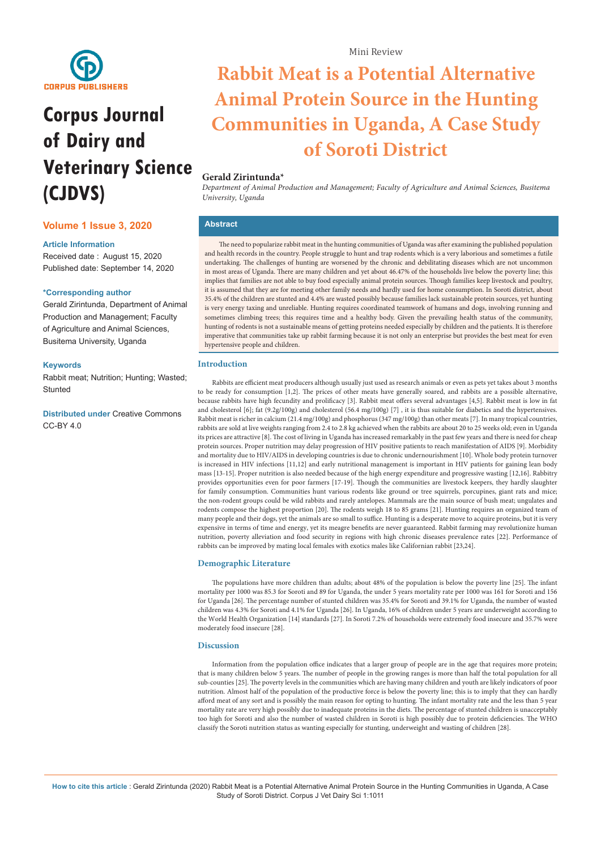

# **Corpus Journal of Dairy and Veterinary Science (CJDVS)**

## **Volume 1 Issue 3, 2020**

#### **Article Information**

Received date : August 15, 2020 Published date: September 14, 2020

#### **\*Corresponding author**

Gerald Zirintunda, Department of Animal Production and Management; Faculty of Agriculture and Animal Sciences, Busitema University, Uganda

#### **Keywords**

Rabbit meat; Nutrition; Hunting; Wasted; **Stunted** 

**Distributed under** [Creative Commons](https://creativecommons.org/licenses/by/4.0/)  [CC-BY 4.0](https://creativecommons.org/licenses/by/4.0/)

## **Rabbit Meat is a Potential Alternative Animal Protein Source in the Hunting Communities in Uganda, A Case Study of Soroti District**

## **Gerald Zirintunda\***

*Department of Animal Production and Management; Faculty of Agriculture and Animal Sciences, Busitema University, Uganda*

## **Abstract**

The need to popularize rabbit meat in the hunting communities of Uganda was after examining the published population and health records in the country. People struggle to hunt and trap rodents which is a very laborious and sometimes a futile undertaking. The challenges of hunting are worsened by the chronic and debilitating diseases which are not uncommon in most areas of Uganda. There are many children and yet about 46.47% of the households live below the poverty line; this implies that families are not able to buy food especially animal protein sources. Though families keep livestock and poultry, it is assumed that they are for meeting other family needs and hardly used for home consumption. In Soroti district, about 35.4% of the children are stunted and 4.4% are wasted possibly because families lack sustainable protein sources, yet hunting is very energy taxing and unreliable. Hunting requires coordinated teamwork of humans and dogs, involving running and sometimes climbing trees; this requires time and a healthy body. Given the prevailing health status of the community, hunting of rodents is not a sustainable means of getting proteins needed especially by children and the patients. It is therefore imperative that communities take up rabbit farming because it is not only an enterprise but provides the best meat for even hypertensive people and children.

## **Introduction**

Rabbits are efficient meat producers although usually just used as research animals or even as pets yet takes about 3 months to be ready for consumption [1,2]. The prices of other meats have generally soared, and rabbits are a possible alternative, because rabbits have high fecundity and prolificacy [3]. Rabbit meat offers several advantages [4,5]. Rabbit meat is low in fat and cholesterol [6]; fat (9.2g/100g) and cholesterol (56.4 mg/100g) [7] , it is thus suitable for diabetics and the hypertensives. Rabbit meat is richer in calcium (21.4 mg/100g) and phosphorus (347 mg/100g) than other meats [7]. In many tropical countries, rabbits are sold at live weights ranging from 2.4 to 2.8 kg achieved when the rabbits are about 20 to 25 weeks old; even in Uganda its prices are attractive [8]. The cost of living in Uganda has increased remarkably in the past few years and there is need for cheap protein sources. Proper nutrition may delay progression of HIV positive patients to reach manifestation of AIDS [9]. Morbidity and mortality due to HIV/AIDS in developing countries is due to chronic undernourishment [10]. Whole body protein turnover is increased in HIV infections [11,12] and early nutritional management is important in HIV patients for gaining lean body mass [13-15]. Proper nutrition is also needed because of the high energy expenditure and progressive wasting [12,16]. Rabbitry provides opportunities even for poor farmers [17-19]. Though the communities are livestock keepers, they hardly slaughter for family consumption. Communities hunt various rodents like ground or tree squirrels, porcupines, giant rats and mice; the non-rodent groups could be wild rabbits and rarely antelopes. Mammals are the main source of bush meat; ungulates and rodents compose the highest proportion [20]. The rodents weigh 18 to 85 grams [21]. Hunting requires an organized team of many people and their dogs, yet the animals are so small to suffice. Hunting is a desperate move to acquire proteins, but it is very expensive in terms of time and energy, yet its meagre benefits are never guaranteed. Rabbit farming may revolutionize human nutrition, poverty alleviation and food security in regions with high chronic diseases prevalence rates [22]. Performance of rabbits can be improved by mating local females with exotics males like Californian rabbit [23,24].

#### **Demographic Literature**

The populations have more children than adults; about 48% of the population is below the poverty line [25]. The infant mortality per 1000 was 85.3 for Soroti and 89 for Uganda, the under 5 years mortality rate per 1000 was 161 for Soroti and 156 for Uganda [26]. The percentage number of stunted children was 35.4% for Soroti and 39.1% for Uganda, the number of wasted children was 4.3% for Soroti and 4.1% for Uganda [26]. In Uganda, 16% of children under 5 years are underweight according to the World Health Organization [14] standards [27]. In Soroti 7.2% of households were extremely food insecure and 35.7% were moderately food insecure [28].

#### **Discussion**

Information from the population office indicates that a larger group of people are in the age that requires more protein; that is many children below 5 years. The number of people in the growing ranges is more than half the total population for all sub-counties [25]. The poverty levels in the communities which are having many children and youth are likely indicators of poor nutrition. Almost half of the population of the productive force is below the poverty line; this is to imply that they can hardly afford meat of any sort and is possibly the main reason for opting to hunting. The infant mortality rate and the less than 5 year mortality rate are very high possibly due to inadequate proteins in the diets. The percentage of stunted children is unacceptably too high for Soroti and also the number of wasted children in Soroti is high possibly due to protein deficiencies. The WHO classify the Soroti nutrition status as wanting especially for stunting, underweight and wasting of children [28].